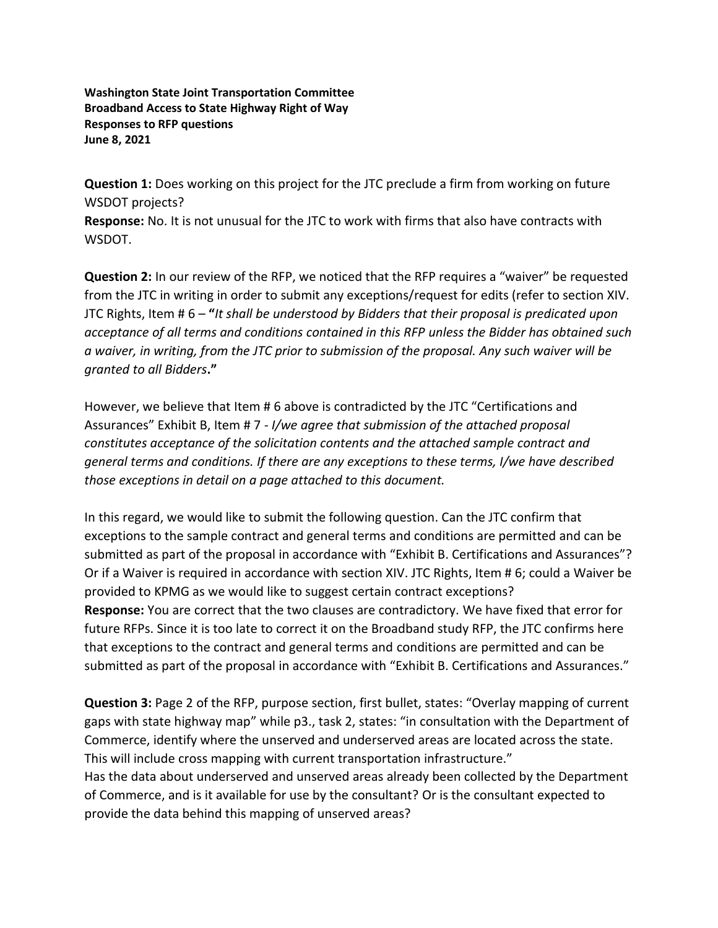**Washington State Joint Transportation Committee Broadband Access to State Highway Right of Way Responses to RFP questions June 8, 2021**

**Question 1:** Does working on this project for the JTC preclude a firm from working on future WSDOT projects?

**Response:** No. It is not unusual for the JTC to work with firms that also have contracts with WSDOT.

**Question 2:** In our review of the RFP, we noticed that the RFP requires a "waiver" be requested from the JTC in writing in order to submit any exceptions/request for edits (refer to section XIV. JTC Rights, Item # 6 – **"***It shall be understood by Bidders that their proposal is predicated upon acceptance of all terms and conditions contained in this RFP unless the Bidder has obtained such a waiver, in writing, from the JTC prior to submission of the proposal. Any such waiver will be granted to all Bidders***."**

However, we believe that Item # 6 above is contradicted by the JTC "Certifications and Assurances" Exhibit B, Item # 7 *- I/we agree that submission of the attached proposal constitutes acceptance of the solicitation contents and the attached sample contract and general terms and conditions. If there are any exceptions to these terms, I/we have described those exceptions in detail on a page attached to this document.*

In this regard, we would like to submit the following question. Can the JTC confirm that exceptions to the sample contract and general terms and conditions are permitted and can be submitted as part of the proposal in accordance with "Exhibit B. Certifications and Assurances"? Or if a Waiver is required in accordance with section XIV. JTC Rights, Item # 6; could a Waiver be provided to KPMG as we would like to suggest certain contract exceptions? **Response:** You are correct that the two clauses are contradictory. We have fixed that error for future RFPs. Since it is too late to correct it on the Broadband study RFP, the JTC confirms here that exceptions to the contract and general terms and conditions are permitted and can be submitted as part of the proposal in accordance with "Exhibit B. Certifications and Assurances."

**Question 3:** Page 2 of the RFP, purpose section, first bullet, states: "Overlay mapping of current gaps with state highway map" while p3., task 2, states: "in consultation with the Department of Commerce, identify where the unserved and underserved areas are located across the state. This will include cross mapping with current transportation infrastructure." Has the data about underserved and unserved areas already been collected by the Department of Commerce, and is it available for use by the consultant? Or is the consultant expected to provide the data behind this mapping of unserved areas?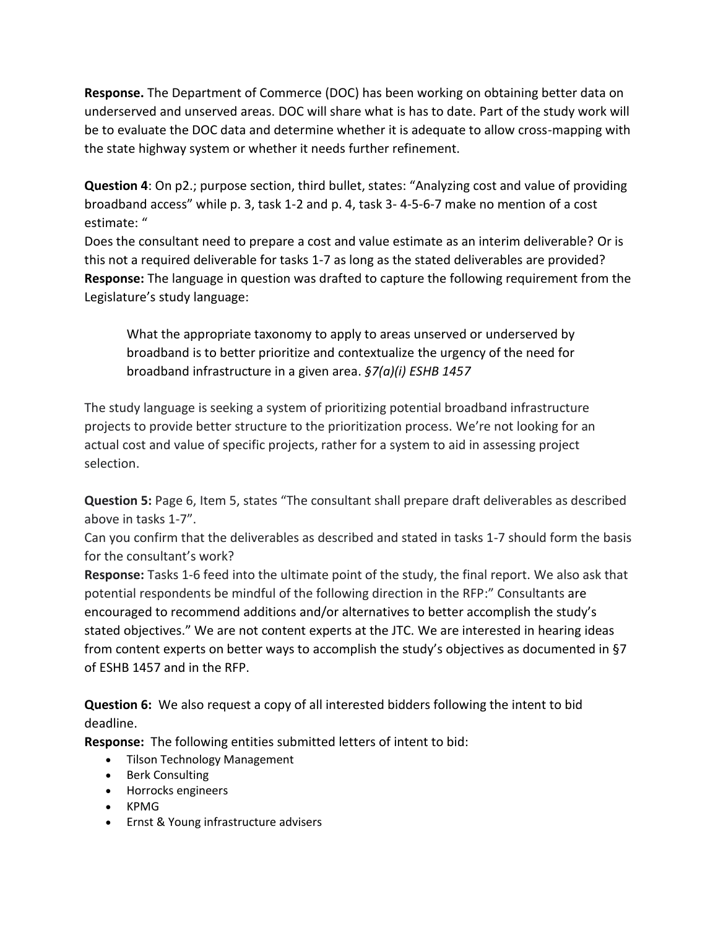**Response.** The Department of Commerce (DOC) has been working on obtaining better data on underserved and unserved areas. DOC will share what is has to date. Part of the study work will be to evaluate the DOC data and determine whether it is adequate to allow cross-mapping with the state highway system or whether it needs further refinement.

**Question 4**: On p2.; purpose section, third bullet, states: "Analyzing cost and value of providing broadband access" while p. 3, task 1-2 and p. 4, task 3- 4-5-6-7 make no mention of a cost estimate: "

Does the consultant need to prepare a cost and value estimate as an interim deliverable? Or is this not a required deliverable for tasks 1-7 as long as the stated deliverables are provided? **Response:** The language in question was drafted to capture the following requirement from the Legislature's study language:

What the appropriate taxonomy to apply to areas unserved or underserved by broadband is to better prioritize and contextualize the urgency of the need for broadband infrastructure in a given area. *§7(a)(i) ESHB 1457*

The study language is seeking a system of prioritizing potential broadband infrastructure projects to provide better structure to the prioritization process. We're not looking for an actual cost and value of specific projects, rather for a system to aid in assessing project selection.

**Question 5:** Page 6, Item 5, states "The consultant shall prepare draft deliverables as described above in tasks 1-7".

Can you confirm that the deliverables as described and stated in tasks 1-7 should form the basis for the consultant's work?

**Response:** Tasks 1-6 feed into the ultimate point of the study, the final report. We also ask that potential respondents be mindful of the following direction in the RFP:" Consultants are encouraged to recommend additions and/or alternatives to better accomplish the study's stated objectives." We are not content experts at the JTC. We are interested in hearing ideas from content experts on better ways to accomplish the study's objectives as documented in §7 of ESHB 1457 and in the RFP.

**Question 6:** We also request a copy of all interested bidders following the intent to bid deadline.

**Response:** The following entities submitted letters of intent to bid:

- Tilson Technology Management
- Berk Consulting
- Horrocks engineers
- KPMG
- Ernst & Young infrastructure advisers